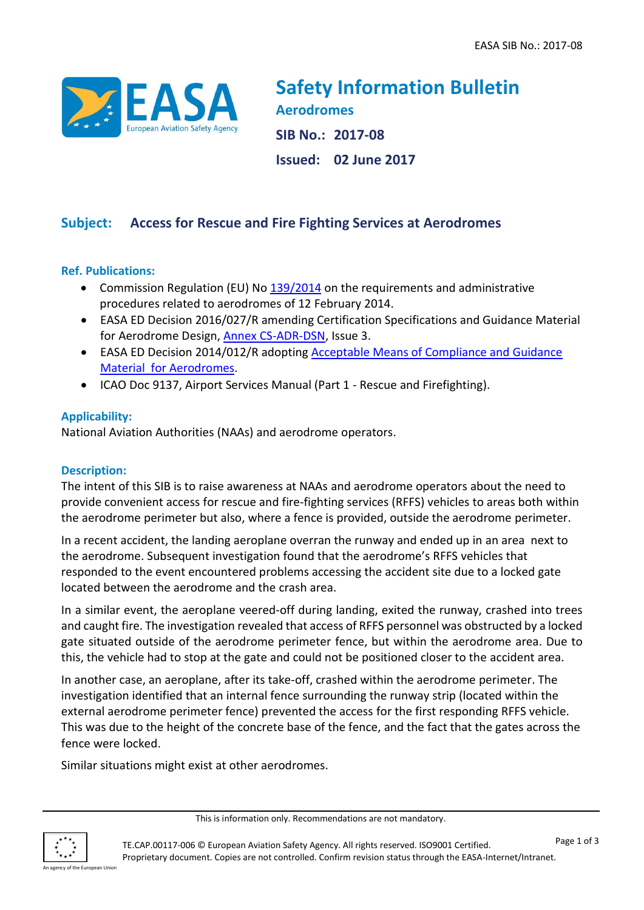

**Safety Information Bulletin Aerodromes SIB No.: 2017-08 Issued: 02 June 2017**

# **Subject: Access for Rescue and Fire Fighting Services at Aerodromes**

### **Ref. Publications:**

- Commission Regulation (EU) No [139/2014](http://eur-lex.europa.eu/legal-content/EN/TXT/?qid=1436279495426&uri=CELEX:32014R0139) on the requirements and administrative procedures related to aerodromes of 12 February 2014.
- EASA ED Decision 2016/027/R amending Certification Specifications and Guidance Material for Aerodrome Design, [Annex CS-ADR-DSN,](http://www.easa.europa.eu/system/files/dfu/Annex%20to%20EDD%202016-027-R%20-%20CS-ADR-DSN%20Issue%203%20%281%29.pdf) Issue 3.
- EASA ED Decision 2014/012/R adopting **Acceptable Means of Compliance and Guidance** [Material for Aerodromes.](http://www.easa.europa.eu/system/files/dfu/2014-012-R-Annex%20to%20ED%20Decision%202014-012-R.pdf)
- ICAO Doc 9137, Airport Services Manual (Part 1 Rescue and Firefighting).

## **Applicability:**

National Aviation Authorities (NAAs) and aerodrome operators.

#### **Description:**

The intent of this SIB is to raise awareness at NAAs and aerodrome operators about the need to provide convenient access for rescue and fire-fighting services (RFFS) vehicles to areas both within the aerodrome perimeter but also, where a fence is provided, outside the aerodrome perimeter.

In a recent accident, the landing aeroplane overran the runway and ended up in an area next to the aerodrome. Subsequent investigation found that the aerodrome's RFFS vehicles that responded to the event encountered problems accessing the accident site due to a locked gate located between the aerodrome and the crash area.

In a similar event, the aeroplane veered-off during landing, exited the runway, crashed into trees and caught fire. The investigation revealed that access of RFFS personnel was obstructed by a locked gate situated outside of the aerodrome perimeter fence, but within the aerodrome area. Due to this, the vehicle had to stop at the gate and could not be positioned closer to the accident area.

In another case, an aeroplane, after its take-off, crashed within the aerodrome perimeter. The investigation identified that an internal fence surrounding the runway strip (located within the external aerodrome perimeter fence) prevented the access for the first responding RFFS vehicle. This was due to the height of the concrete base of the fence, and the fact that the gates across the fence were locked.

Similar situations might exist at other aerodromes.

This is information only. Recommendations are not mandatory.

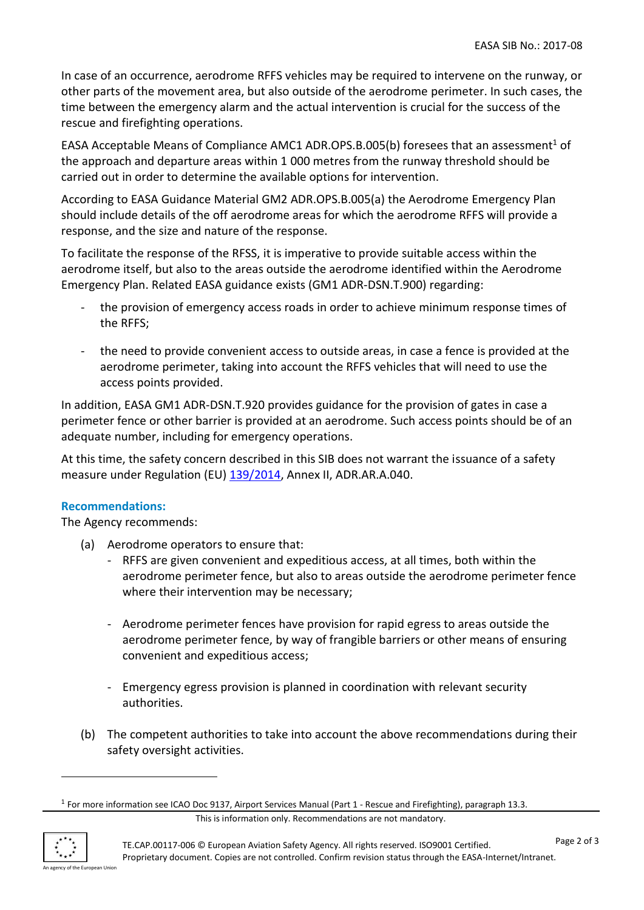In case of an occurrence, aerodrome RFFS vehicles may be required to intervene on the runway, or other parts of the movement area, but also outside of the aerodrome perimeter. In such cases, the time between the emergency alarm and the actual intervention is crucial for the success of the rescue and firefighting operations.

EASA Acceptable Means of Compliance AMC1 ADR.OPS.B.005(b) foresees that an assessment<sup>1</sup> of the approach and departure areas within 1 000 metres from the runway threshold should be carried out in order to determine the available options for intervention.

According to EASA Guidance Material GM2 ADR.OPS.B.005(a) the Aerodrome Emergency Plan should include details of the off aerodrome areas for which the aerodrome RFFS will provide a response, and the size and nature of the response.

To facilitate the response of the RFSS, it is imperative to provide suitable access within the aerodrome itself, but also to the areas outside the aerodrome identified within the Aerodrome Emergency Plan. Related EASA guidance exists (GM1 ADR-DSN.T.900) regarding:

- the provision of emergency access roads in order to achieve minimum response times of the RFFS;
- the need to provide convenient access to outside areas, in case a fence is provided at the aerodrome perimeter, taking into account the RFFS vehicles that will need to use the access points provided.

In addition, EASA GM1 ADR-DSN.T.920 provides guidance for the provision of gates in case a perimeter fence or other barrier is provided at an aerodrome. Such access points should be of an adequate number, including for emergency operations.

At this time, the safety concern described in this SIB does not warrant the issuance of a safety measure under Regulation (EU) [139/2014,](http://eur-lex.europa.eu/LexUriServ/LexUriServ.do?uri=OJ:L:2014:044:0001:0034:EN:PDF) Annex II, ADR.AR.A.040.

## **Recommendations:**

The Agency recommends:

- (a) Aerodrome operators to ensure that:
	- RFFS are given convenient and expeditious access, at all times, both within the aerodrome perimeter fence, but also to areas outside the aerodrome perimeter fence where their intervention may be necessary;
	- Aerodrome perimeter fences have provision for rapid egress to areas outside the aerodrome perimeter fence, by way of frangible barriers or other means of ensuring convenient and expeditious access;
	- Emergency egress provision is planned in coordination with relevant security authorities.
- (b) The competent authorities to take into account the above recommendations during their safety oversight activities.

This is information only. Recommendations are not mandatory.



1

<sup>&</sup>lt;sup>1</sup> For more information see ICAO Doc 9137, Airport Services Manual (Part 1 - Rescue and Firefighting), paragraph 13.3.